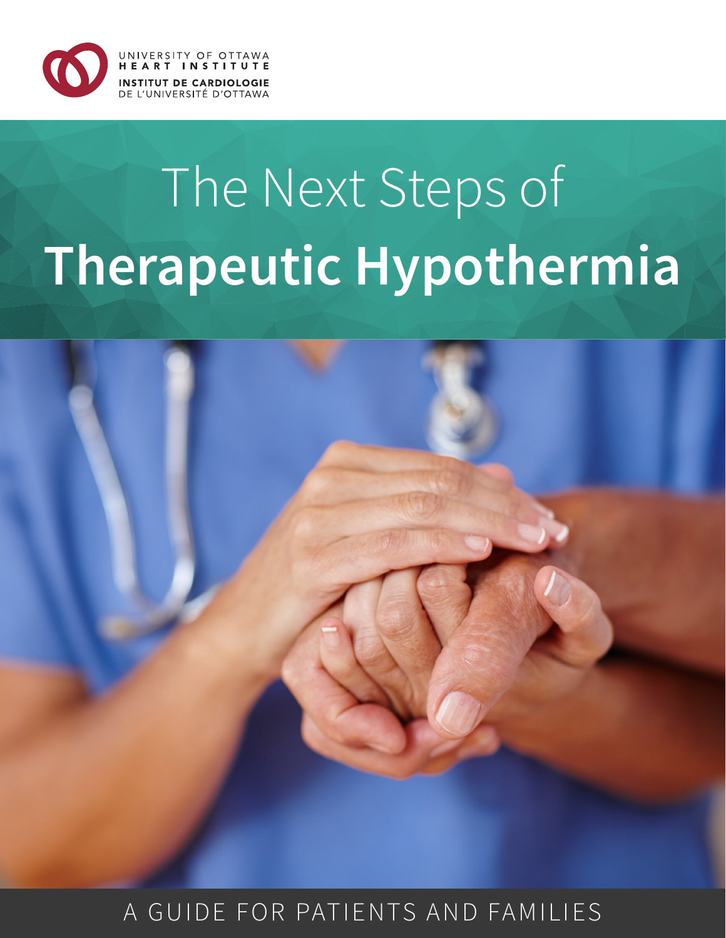

# The Next Steps of **Therapeutic Hypothermia**



A GUIDE FOR PATIENTS AND FAMILIES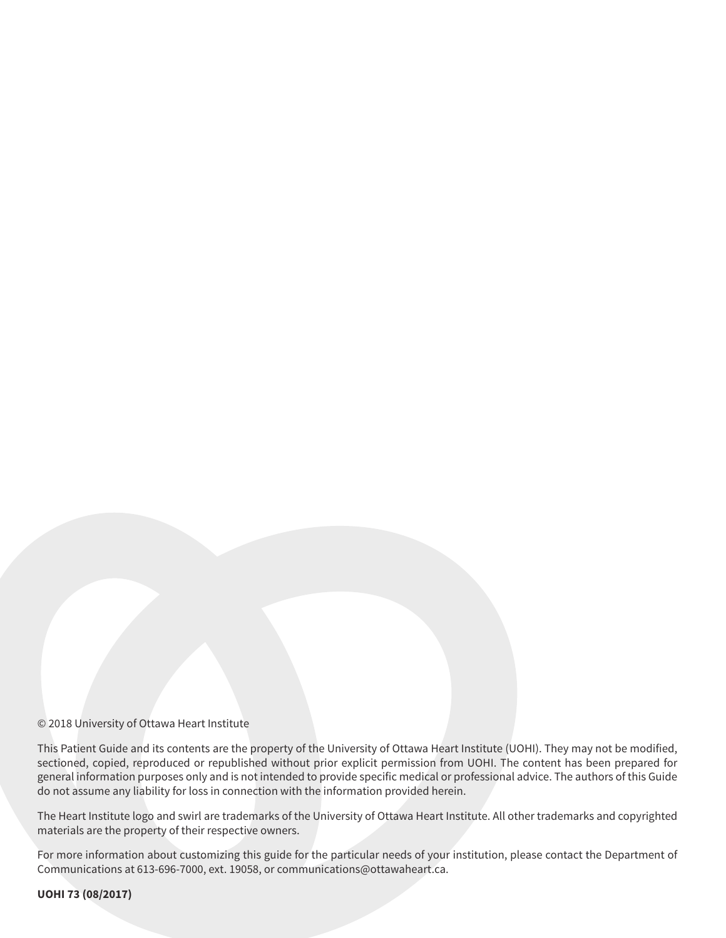#### © 2018 University of Ottawa Heart Institute

This Patient Guide and its contents are the property of the University of Ottawa Heart Institute (UOHI). They may not be modified, sectioned, copied, reproduced or republished without prior explicit permission from UOHI. The content has been prepared for general information purposes only and is not intended to provide specific medical or professional advice. The authors of this Guide do not assume any liability for loss in connection with the information provided herein.

The Heart Institute logo and swirl are trademarks of the University of Ottawa Heart Institute. All other trademarks and copyrighted materials are the property of their respective owners.

For more information about customizing this guide for the particular needs of your institution, please contact the Department of Communications at 613-696-7000, ext. 19058, or communications@ottawaheart.ca.

**UOHI 73 (08/2017)**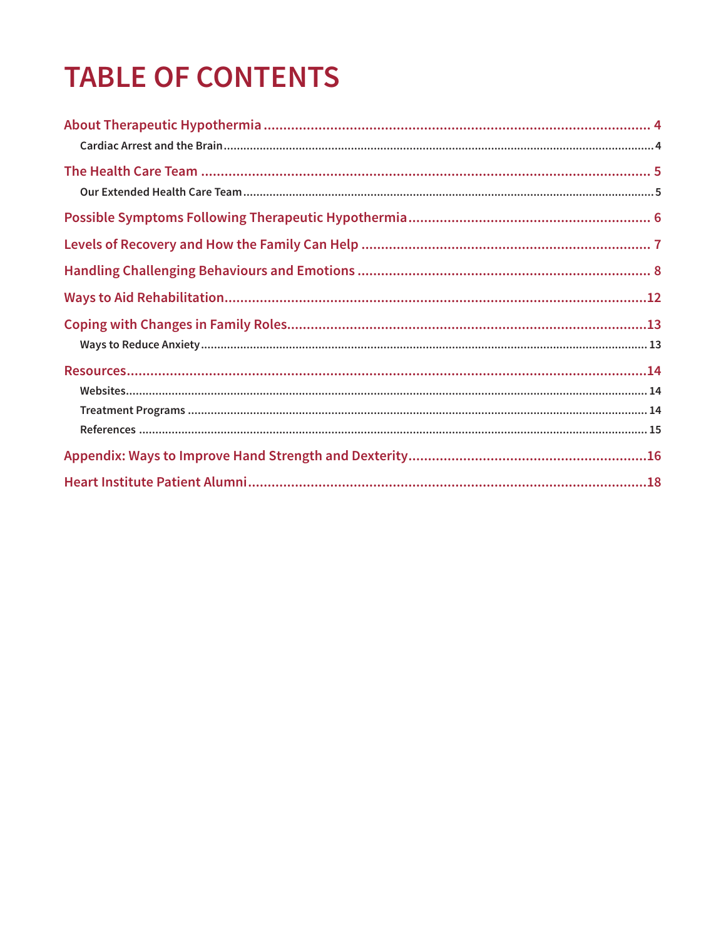# **TABLE OF CONTENTS**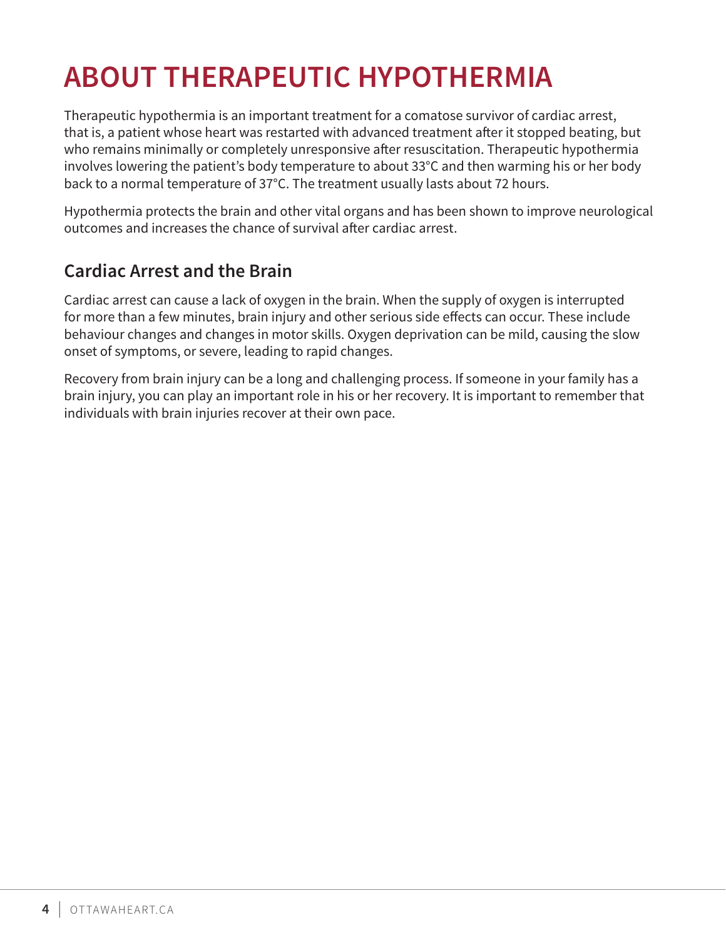# **ABOUT THERAPEUTIC HYPOTHERMIA**

Therapeutic hypothermia is an important treatment for a comatose survivor of cardiac arrest, that is, a patient whose heart was restarted with advanced treatment after it stopped beating, but who remains minimally or completely unresponsive after resuscitation. Therapeutic hypothermia involves lowering the patient's body temperature to about 33°C and then warming his or her body back to a normal temperature of 37°C. The treatment usually lasts about 72 hours.

Hypothermia protects the brain and other vital organs and has been shown to improve neurological outcomes and increases the chance of survival after cardiac arrest.

# **Cardiac Arrest and the Brain**

Cardiac arrest can cause a lack of oxygen in the brain. When the supply of oxygen is interrupted for more than a few minutes, brain injury and other serious side effects can occur. These include behaviour changes and changes in motor skills. Oxygen deprivation can be mild, causing the slow onset of symptoms, or severe, leading to rapid changes.

Recovery from brain injury can be a long and challenging process. If someone in your family has a brain injury, you can play an important role in his or her recovery. It is important to remember that individuals with brain injuries recover at their own pace.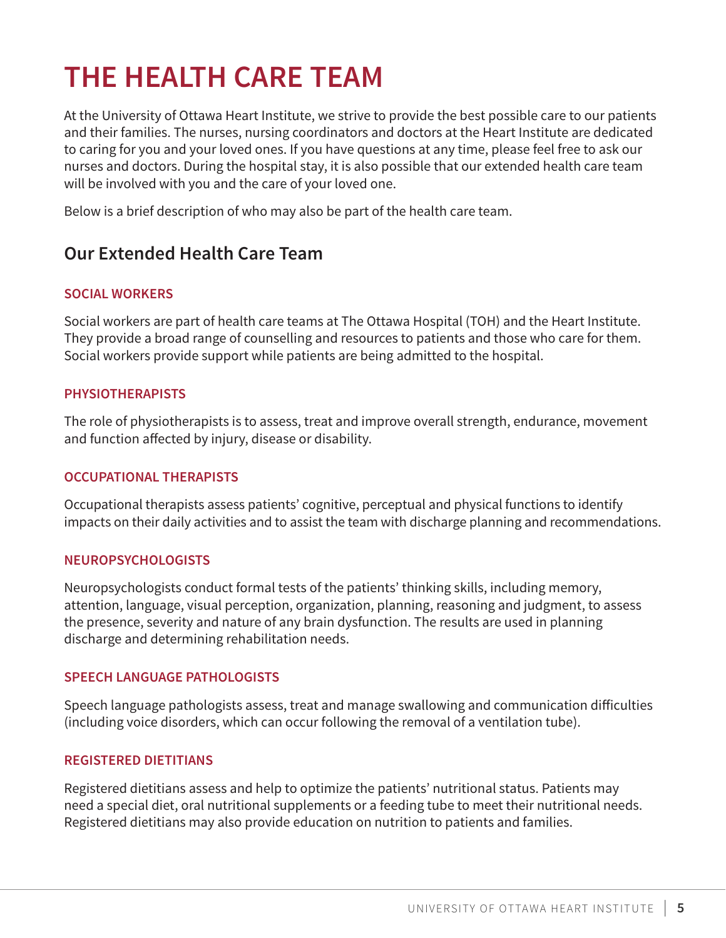# **THE HEALTH CARE TEAM**

At the University of Ottawa Heart Institute, we strive to provide the best possible care to our patients and their families. The nurses, nursing coordinators and doctors at the Heart Institute are dedicated to caring for you and your loved ones. If you have questions at any time, please feel free to ask our nurses and doctors. During the hospital stay, it is also possible that our extended health care team will be involved with you and the care of your loved one.

Below is a brief description of who may also be part of the health care team.

# **Our Extended Health Care Team**

### **SOCIAL WORKERS**

Social workers are part of health care teams at The Ottawa Hospital (TOH) and the Heart Institute. They provide a broad range of counselling and resources to patients and those who care for them. Social workers provide support while patients are being admitted to the hospital.

### **PHYSIOTHERAPISTS**

The role of physiotherapists is to assess, treat and improve overall strength, endurance, movement and function affected by injury, disease or disability.

### **OCCUPATIONAL THERAPISTS**

Occupational therapists assess patients' cognitive, perceptual and physical functions to identify impacts on their daily activities and to assist the team with discharge planning and recommendations.

### **NEUROPSYCHOLOGISTS**

Neuropsychologists conduct formal tests of the patients' thinking skills, including memory, attention, language, visual perception, organization, planning, reasoning and judgment, to assess the presence, severity and nature of any brain dysfunction. The results are used in planning discharge and determining rehabilitation needs.

### **SPEECH LANGUAGE PATHOLOGISTS**

Speech language pathologists assess, treat and manage swallowing and communication difficulties (including voice disorders, which can occur following the removal of a ventilation tube).

### **REGISTERED DIETITIANS**

Registered dietitians assess and help to optimize the patients' nutritional status. Patients may need a special diet, oral nutritional supplements or a feeding tube to meet their nutritional needs. Registered dietitians may also provide education on nutrition to patients and families.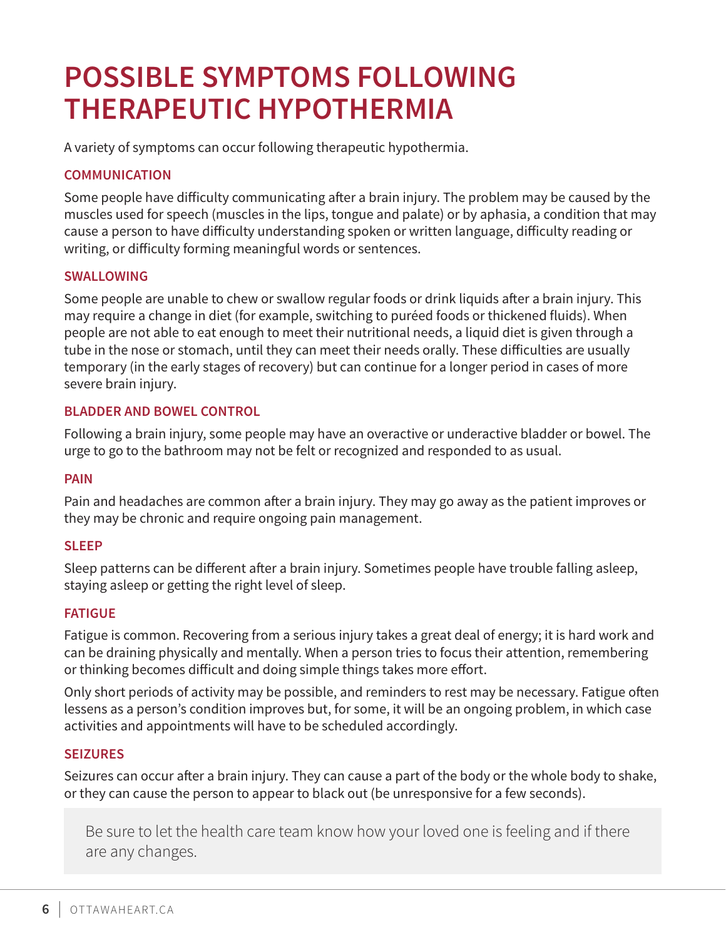# **POSSIBLE SYMPTOMS FOLLOWING THERAPEUTIC HYPOTHERMIA**

A variety of symptoms can occur following therapeutic hypothermia.

## **COMMUNICATION**

Some people have difficulty communicating after a brain injury. The problem may be caused by the muscles used for speech (muscles in the lips, tongue and palate) or by aphasia, a condition that may cause a person to have difficulty understanding spoken or written language, difficulty reading or writing, or difficulty forming meaningful words or sentences.

### **SWALLOWING**

Some people are unable to chew or swallow regular foods or drink liquids after a brain injury. This may require a change in diet (for example, switching to puréed foods or thickened fluids). When people are not able to eat enough to meet their nutritional needs, a liquid diet is given through a tube in the nose or stomach, until they can meet their needs orally. These difficulties are usually temporary (in the early stages of recovery) but can continue for a longer period in cases of more severe brain injury.

#### **BLADDER AND BOWEL CONTROL**

Following a brain injury, some people may have an overactive or underactive bladder or bowel. The urge to go to the bathroom may not be felt or recognized and responded to as usual.

#### **PAIN**

Pain and headaches are common after a brain injury. They may go away as the patient improves or they may be chronic and require ongoing pain management.

#### **SLEEP**

Sleep patterns can be different after a brain injury. Sometimes people have trouble falling asleep, staying asleep or getting the right level of sleep.

### **FATIGUE**

Fatigue is common. Recovering from a serious injury takes a great deal of energy; it is hard work and can be draining physically and mentally. When a person tries to focus their attention, remembering or thinking becomes difficult and doing simple things takes more effort.

Only short periods of activity may be possible, and reminders to rest may be necessary. Fatigue often lessens as a person's condition improves but, for some, it will be an ongoing problem, in which case activities and appointments will have to be scheduled accordingly.

#### **SEIZURES**

Seizures can occur after a brain injury. They can cause a part of the body or the whole body to shake, or they can cause the person to appear to black out (be unresponsive for a few seconds).

Be sure to let the health care team know how your loved one is feeling and if there are any changes.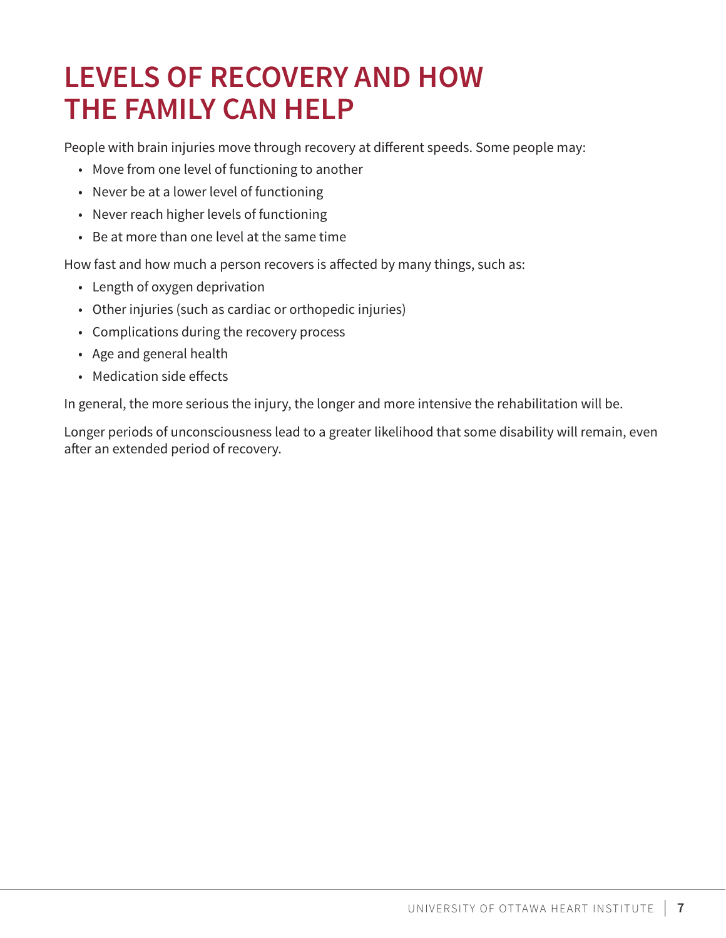# **LEVELS OF RECOVERY AND HOW THE FAMILY CAN HELP**

People with brain injuries move through recovery at different speeds. Some people may:

- Move from one level of functioning to another
- Never be at a lower level of functioning
- Never reach higher levels of functioning
- Be at more than one level at the same time

How fast and how much a person recovers is affected by many things, such as:

- Length of oxygen deprivation
- Other injuries (such as cardiac or orthopedic injuries)
- Complications during the recovery process
- Age and general health
- Medication side effects

In general, the more serious the injury, the longer and more intensive the rehabilitation will be.

Longer periods of unconsciousness lead to a greater likelihood that some disability will remain, even after an extended period of recovery.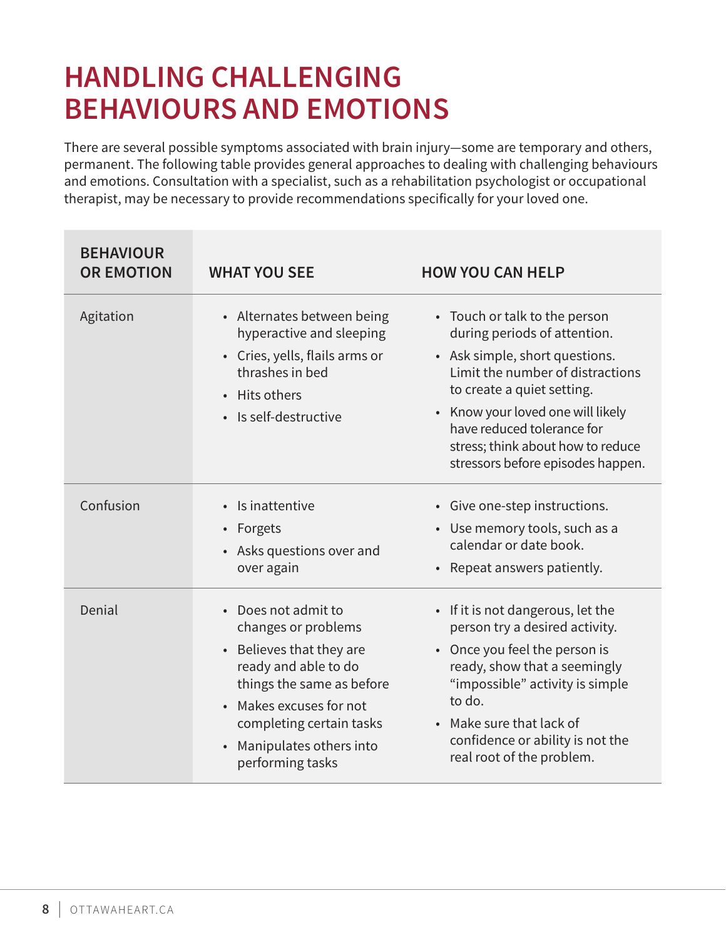# **HANDLING CHALLENGING BEHAVIOURS AND EMOTIONS**

There are several possible symptoms associated with brain injury—some are temporary and others, permanent. The following table provides general approaches to dealing with challenging behaviours and emotions. Consultation with a specialist, such as a rehabilitation psychologist or occupational therapist, may be necessary to provide recommendations specifically for your loved one.

| <b>BEHAVIOUR</b><br><b>OR EMOTION</b> | <b>WHAT YOU SEE</b>                                                                                                                                                                                                             | <b>HOW YOU CAN HELP</b>                                                                                                                                                                                                                                                                                        |
|---------------------------------------|---------------------------------------------------------------------------------------------------------------------------------------------------------------------------------------------------------------------------------|----------------------------------------------------------------------------------------------------------------------------------------------------------------------------------------------------------------------------------------------------------------------------------------------------------------|
| Agitation                             | • Alternates between being<br>hyperactive and sleeping<br>• Cries, yells, flails arms or<br>thrashes in bed<br>• Hits others<br>· Is self-destructive                                                                           | • Touch or talk to the person<br>during periods of attention.<br>• Ask simple, short questions.<br>Limit the number of distractions<br>to create a quiet setting.<br>• Know your loved one will likely<br>have reduced tolerance for<br>stress; think about how to reduce<br>stressors before episodes happen. |
| Confusion                             | • Is inattentive<br>• Forgets<br>• Asks questions over and<br>over again                                                                                                                                                        | • Give one-step instructions.<br>• Use memory tools, such as a<br>calendar or date book.<br>• Repeat answers patiently.                                                                                                                                                                                        |
| Denial                                | • Does not admit to<br>changes or problems<br>• Believes that they are<br>ready and able to do<br>things the same as before<br>Makes excuses for not<br>completing certain tasks<br>Manipulates others into<br>performing tasks | • If it is not dangerous, let the<br>person try a desired activity.<br>• Once you feel the person is<br>ready, show that a seemingly<br>"impossible" activity is simple<br>to do.<br>• Make sure that lack of<br>confidence or ability is not the<br>real root of the problem.                                 |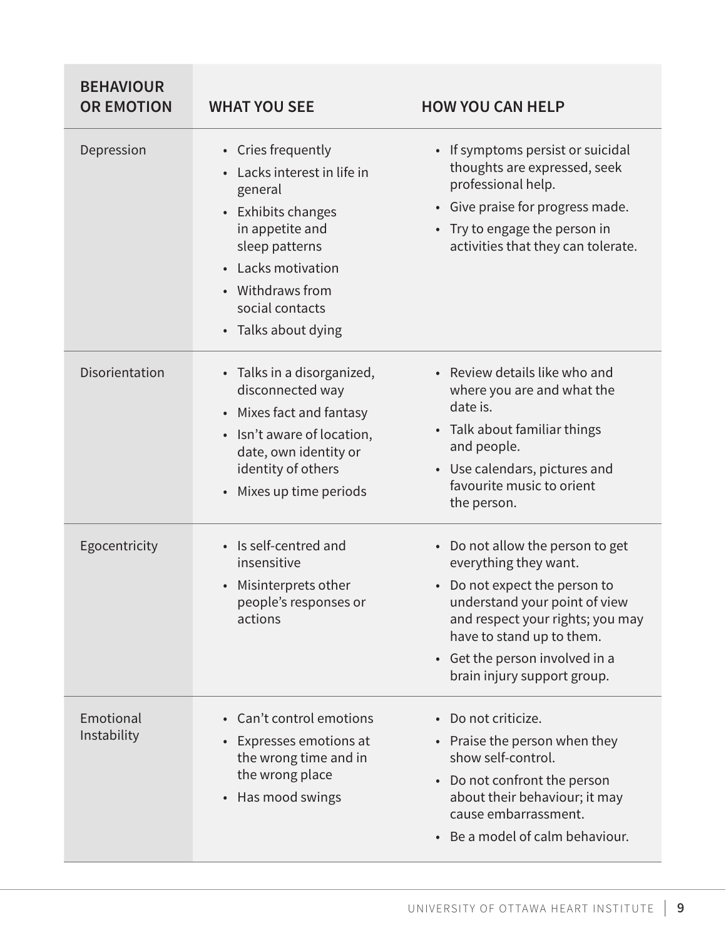| <b>BEHAVIOUR</b><br><b>OR EMOTION</b> | <b>WHAT YOU SEE</b>                                                                                                                                                                                       | <b>HOW YOU CAN HELP</b>                                                                                                                                                                                                                                     |
|---------------------------------------|-----------------------------------------------------------------------------------------------------------------------------------------------------------------------------------------------------------|-------------------------------------------------------------------------------------------------------------------------------------------------------------------------------------------------------------------------------------------------------------|
| Depression                            | • Cries frequently<br>Lacks interest in life in<br>general<br>• Exhibits changes<br>in appetite and<br>sleep patterns<br>• Lacks motivation<br>• Withdraws from<br>social contacts<br>• Talks about dying | • If symptoms persist or suicidal<br>thoughts are expressed, seek<br>professional help.<br>• Give praise for progress made.<br>• Try to engage the person in<br>activities that they can tolerate.                                                          |
| Disorientation                        | • Talks in a disorganized,<br>disconnected way<br>• Mixes fact and fantasy<br>• Isn't aware of location,<br>date, own identity or<br>identity of others<br>Mixes up time periods                          | • Review details like who and<br>where you are and what the<br>date is.<br>• Talk about familiar things<br>and people.<br>• Use calendars, pictures and<br>favourite music to orient<br>the person.                                                         |
| Egocentricity                         | • Is self-centred and<br>insensitive<br>Misinterprets other<br>people's responses or<br>actions                                                                                                           | • Do not allow the person to get<br>everything they want.<br>Do not expect the person to<br>understand your point of view<br>and respect your rights; you may<br>have to stand up to them.<br>• Get the person involved in a<br>brain injury support group. |
| Emotional<br>Instability              | • Can't control emotions<br>Expresses emotions at<br>the wrong time and in<br>the wrong place<br>Has mood swings                                                                                          | • Do not criticize.<br>• Praise the person when they<br>show self-control.<br>Do not confront the person<br>$\bullet$<br>about their behaviour; it may<br>cause embarrassment.<br>Be a model of calm behaviour.<br>$\bullet$                                |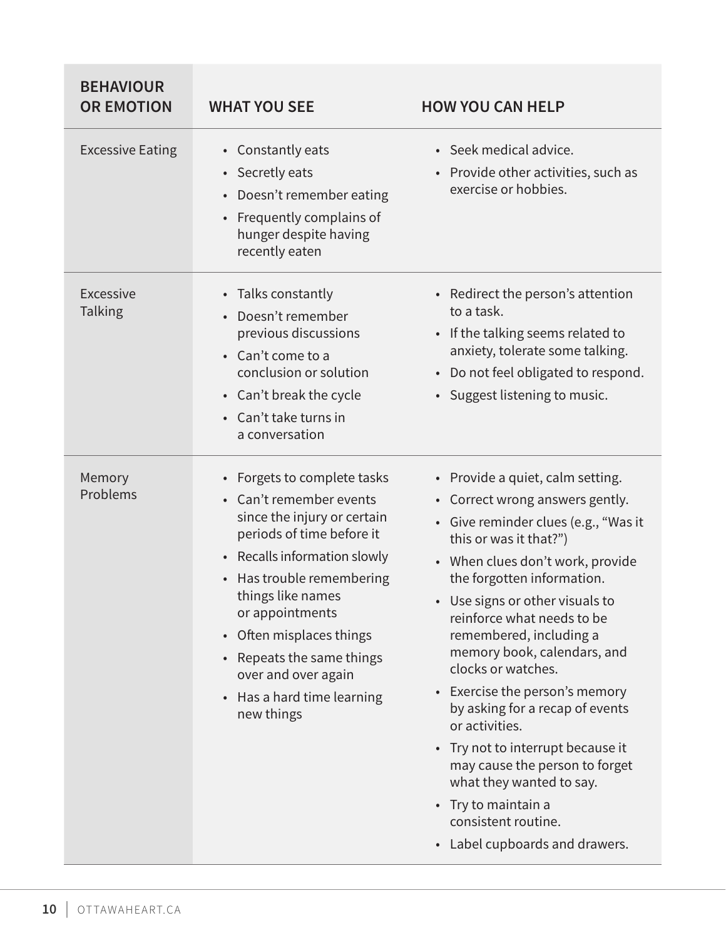| <b>BEHAVIOUR</b><br><b>OR EMOTION</b> | <b>WHAT YOU SEE</b>                                                                                                                                                                                                                                                                                                                                 | <b>HOW YOU CAN HELP</b>                                                                                                                                                                                                                                                                                                                                                                                                                                                                                                                                                                                                                                                        |
|---------------------------------------|-----------------------------------------------------------------------------------------------------------------------------------------------------------------------------------------------------------------------------------------------------------------------------------------------------------------------------------------------------|--------------------------------------------------------------------------------------------------------------------------------------------------------------------------------------------------------------------------------------------------------------------------------------------------------------------------------------------------------------------------------------------------------------------------------------------------------------------------------------------------------------------------------------------------------------------------------------------------------------------------------------------------------------------------------|
| <b>Excessive Eating</b>               | • Constantly eats<br>• Secretly eats<br>• Doesn't remember eating<br>• Frequently complains of<br>hunger despite having<br>recently eaten                                                                                                                                                                                                           | • Seek medical advice.<br>Provide other activities, such as<br>$\bullet$<br>exercise or hobbies.                                                                                                                                                                                                                                                                                                                                                                                                                                                                                                                                                                               |
| Excessive<br><b>Talking</b>           | • Talks constantly<br>• Doesn't remember<br>previous discussions<br>• Can't come to a<br>conclusion or solution<br>• Can't break the cycle<br>• Can't take turns in<br>a conversation                                                                                                                                                               | • Redirect the person's attention<br>to a task.<br>• If the talking seems related to<br>anxiety, tolerate some talking.<br>• Do not feel obligated to respond.<br>• Suggest listening to music.                                                                                                                                                                                                                                                                                                                                                                                                                                                                                |
| Memory<br>Problems                    | • Forgets to complete tasks<br>• Can't remember events<br>since the injury or certain<br>periods of time before it<br>• Recalls information slowly<br>• Has trouble remembering<br>things like names<br>or appointments<br>• Often misplaces things<br>• Repeats the same things<br>over and over again<br>• Has a hard time learning<br>new things | • Provide a quiet, calm setting.<br>• Correct wrong answers gently.<br>• Give reminder clues (e.g., "Was it<br>this or was it that?")<br>• When clues don't work, provide<br>the forgotten information.<br>Use signs or other visuals to<br>$\bullet$<br>reinforce what needs to be<br>remembered, including a<br>memory book, calendars, and<br>clocks or watches.<br>Exercise the person's memory<br>$\bullet$<br>by asking for a recap of events<br>or activities.<br>• Try not to interrupt because it<br>may cause the person to forget<br>what they wanted to say.<br>Try to maintain a<br>$\bullet$<br>consistent routine.<br>Label cupboards and drawers.<br>$\bullet$ |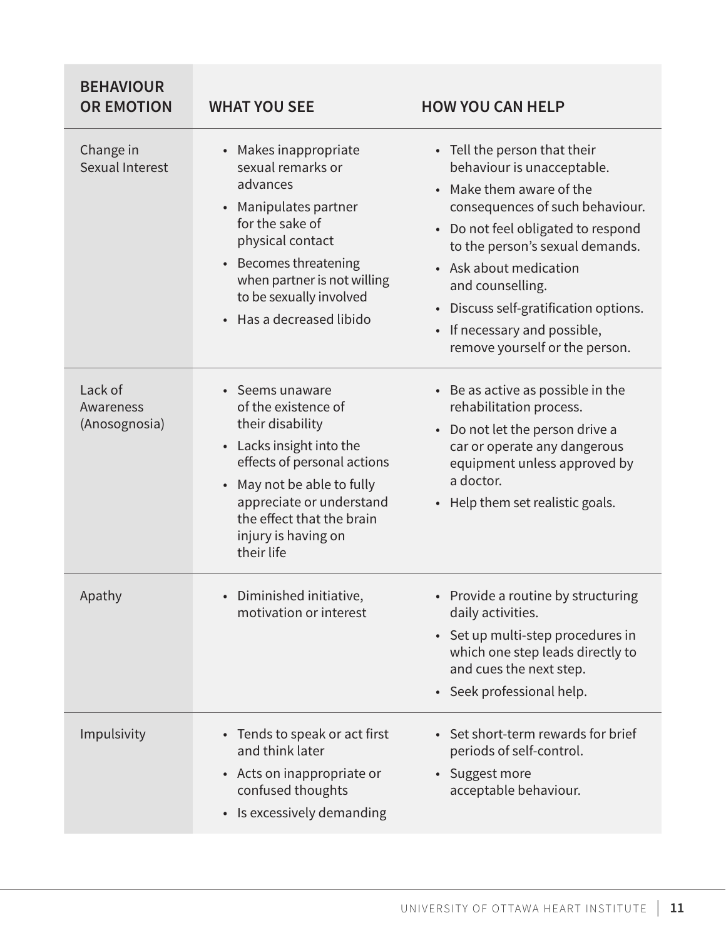| <b>BEHAVIOUR</b><br><b>OR EMOTION</b> | <b>WHAT YOU SEE</b>                                                                                                                                                                                                                             | <b>HOW YOU CAN HELP</b>                                                                                                                                                                                                                                                                                                                                                                                 |
|---------------------------------------|-------------------------------------------------------------------------------------------------------------------------------------------------------------------------------------------------------------------------------------------------|---------------------------------------------------------------------------------------------------------------------------------------------------------------------------------------------------------------------------------------------------------------------------------------------------------------------------------------------------------------------------------------------------------|
| Change in<br>Sexual Interest          | • Makes inappropriate<br>sexual remarks or<br>advances<br>• Manipulates partner<br>for the sake of<br>physical contact<br>• Becomes threatening<br>when partner is not willing<br>to be sexually involved<br>• Has a decreased libido           | • Tell the person that their<br>behaviour is unacceptable.<br>Make them aware of the<br>$\bullet$<br>consequences of such behaviour.<br>Do not feel obligated to respond<br>$\bullet$<br>to the person's sexual demands.<br>• Ask about medication<br>and counselling.<br>Discuss self-gratification options.<br>$\bullet$<br>If necessary and possible,<br>$\bullet$<br>remove yourself or the person. |
| Lack of<br>Awareness<br>(Anosognosia) | • Seems unaware<br>of the existence of<br>their disability<br>• Lacks insight into the<br>effects of personal actions<br>May not be able to fully<br>appreciate or understand<br>the effect that the brain<br>injury is having on<br>their life | • Be as active as possible in the<br>rehabilitation process.<br>Do not let the person drive a<br>$\bullet$<br>car or operate any dangerous<br>equipment unless approved by<br>a doctor.<br>• Help them set realistic goals.                                                                                                                                                                             |
| Apathy                                | • Diminished initiative,<br>motivation or interest                                                                                                                                                                                              | • Provide a routine by structuring<br>daily activities.<br>Set up multi-step procedures in<br>$\bullet$<br>which one step leads directly to<br>and cues the next step.<br>Seek professional help.<br>$\bullet$                                                                                                                                                                                          |
| Impulsivity                           | Tends to speak or act first<br>and think later<br>• Acts on inappropriate or<br>confused thoughts<br>• Is excessively demanding                                                                                                                 | Set short-term rewards for brief<br>$\bullet$<br>periods of self-control.<br>Suggest more<br>$\bullet$<br>acceptable behaviour.                                                                                                                                                                                                                                                                         |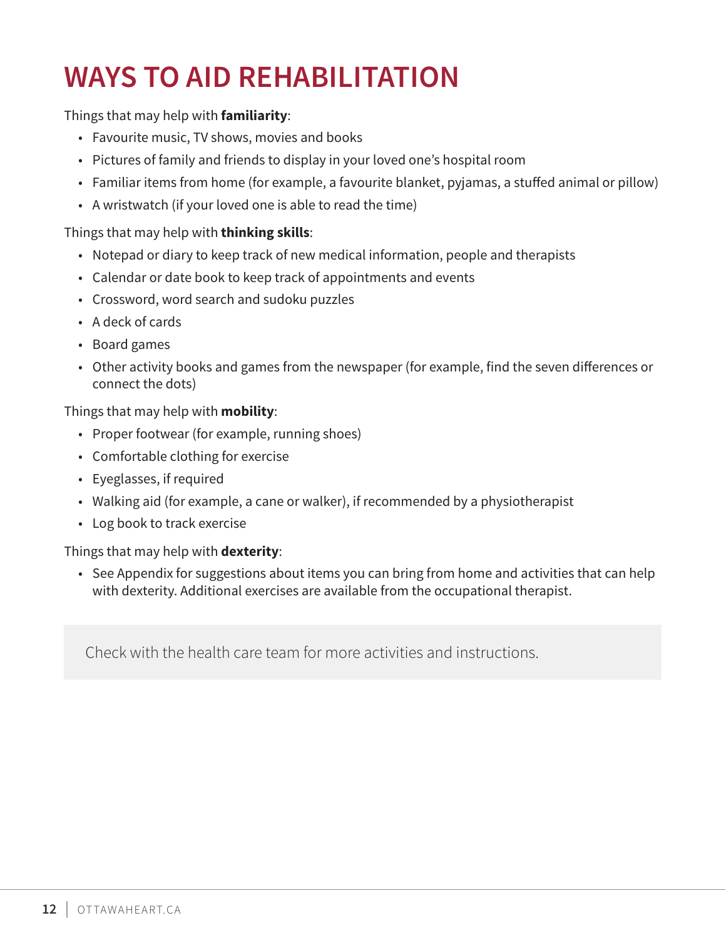# **WAYS TO AID REHABILITATION**

# Things that may help with **familiarity**:

- Favourite music, TV shows, movies and books
- Pictures of family and friends to display in your loved one's hospital room
- Familiar items from home (for example, a favourite blanket, pyjamas, a stuffed animal or pillow)
- A wristwatch (if your loved one is able to read the time)

# Things that may help with **thinking skills**:

- Notepad or diary to keep track of new medical information, people and therapists
- Calendar or date book to keep track of appointments and events
- Crossword, word search and sudoku puzzles
- A deck of cards
- Board games
- Other activity books and games from the newspaper (for example, find the seven differences or connect the dots)

# Things that may help with **mobility**:

- Proper footwear (for example, running shoes)
- Comfortable clothing for exercise
- Eyeglasses, if required
- Walking aid (for example, a cane or walker), if recommended by a physiotherapist
- Log book to track exercise

# Things that may help with **dexterity**:

• See Appendix for suggestions about items you can bring from home and activities that can help with dexterity. Additional exercises are available from the occupational therapist.

Check with the health care team for more activities and instructions.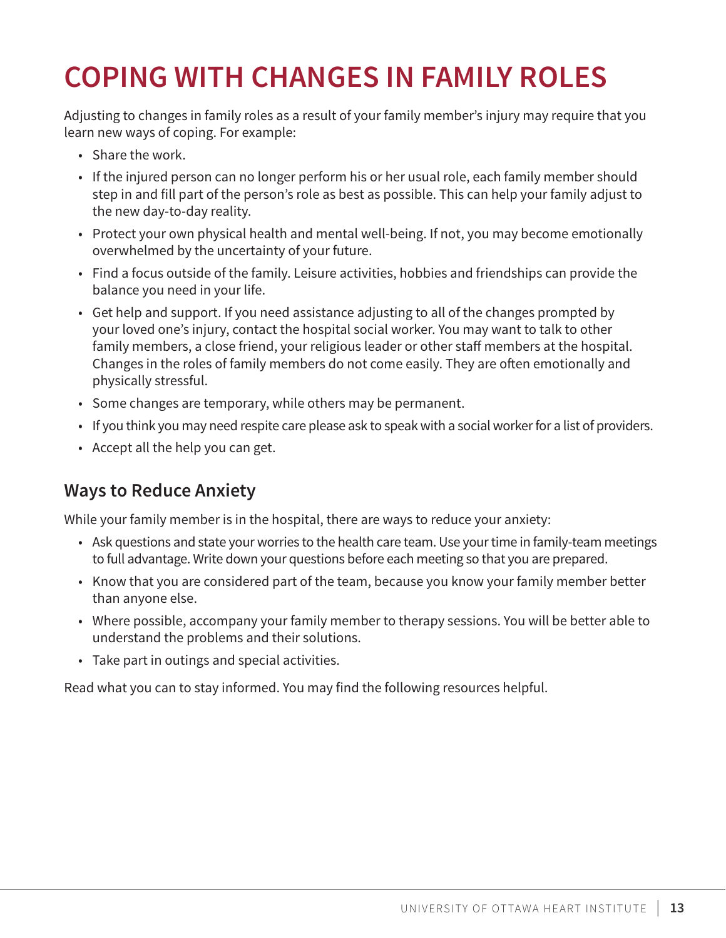# **COPING WITH CHANGES IN FAMILY ROLES**

Adjusting to changes in family roles as a result of your family member's injury may require that you learn new ways of coping. For example:

- Share the work.
- If the injured person can no longer perform his or her usual role, each family member should step in and fill part of the person's role as best as possible. This can help your family adjust to the new day-to-day reality.
- Protect your own physical health and mental well-being. If not, you may become emotionally overwhelmed by the uncertainty of your future.
- Find a focus outside of the family. Leisure activities, hobbies and friendships can provide the balance you need in your life.
- Get help and support. If you need assistance adjusting to all of the changes prompted by your loved one's injury, contact the hospital social worker. You may want to talk to other family members, a close friend, your religious leader or other staff members at the hospital. Changes in the roles of family members do not come easily. They are often emotionally and physically stressful.
- Some changes are temporary, while others may be permanent.
- If you think you may need respite care please ask to speak with a social worker for a list of providers.
- Accept all the help you can get.

# **Ways to Reduce Anxiety**

While your family member is in the hospital, there are ways to reduce your anxiety:

- Ask questions and state your worries to the health care team. Use your time in family-team meetings to full advantage. Write down your questions before each meeting so that you are prepared.
- Know that you are considered part of the team, because you know your family member better than anyone else.
- Where possible, accompany your family member to therapy sessions. You will be better able to understand the problems and their solutions.
- Take part in outings and special activities.

Read what you can to stay informed. You may find the following resources helpful.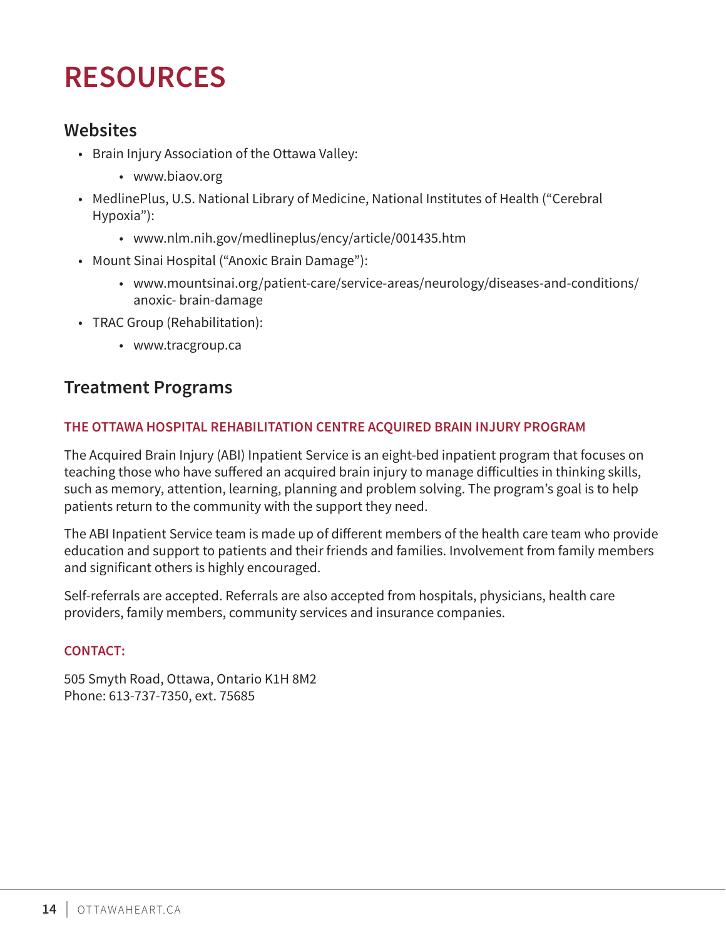# **RESOURCES**

# **Websites**

- Brain Injury Association of the Ottawa Valley:
	- www.biaov.org
- MedlinePlus, U.S. National Library of Medicine, National Institutes of Health ("Cerebral Hypoxia"):
	- www.nlm.nih.gov/medlineplus/ency/article/001435.htm
- Mount Sinai Hospital ("Anoxic Brain Damage"):
	- www.mountsinai.org/patient-care/service-areas/neurology/diseases-and-conditions/ anoxic- brain-damage
- TRAC Group (Rehabilitation):
	- www.tracgroup.ca

# **Treatment Programs**

# **THE OTTAWA HOSPITAL REHABILITATION CENTRE ACQUIRED BRAIN INJURY PROGRAM**

The Acquired Brain Injury (ABI) Inpatient Service is an eight-bed inpatient program that focuses on teaching those who have suffered an acquired brain injury to manage difficulties in thinking skills, such as memory, attention, learning, planning and problem solving. The program's goal is to help patients return to the community with the support they need.

The ABI Inpatient Service team is made up of different members of the health care team who provide education and support to patients and their friends and families. Involvement from family members and significant others is highly encouraged.

Self-referrals are accepted. Referrals are also accepted from hospitals, physicians, health care providers, family members, community services and insurance companies.

### **CONTACT:**

505 Smyth Road, Ottawa, Ontario K1H 8M2 Phone: 613-737-7350, ext. 75685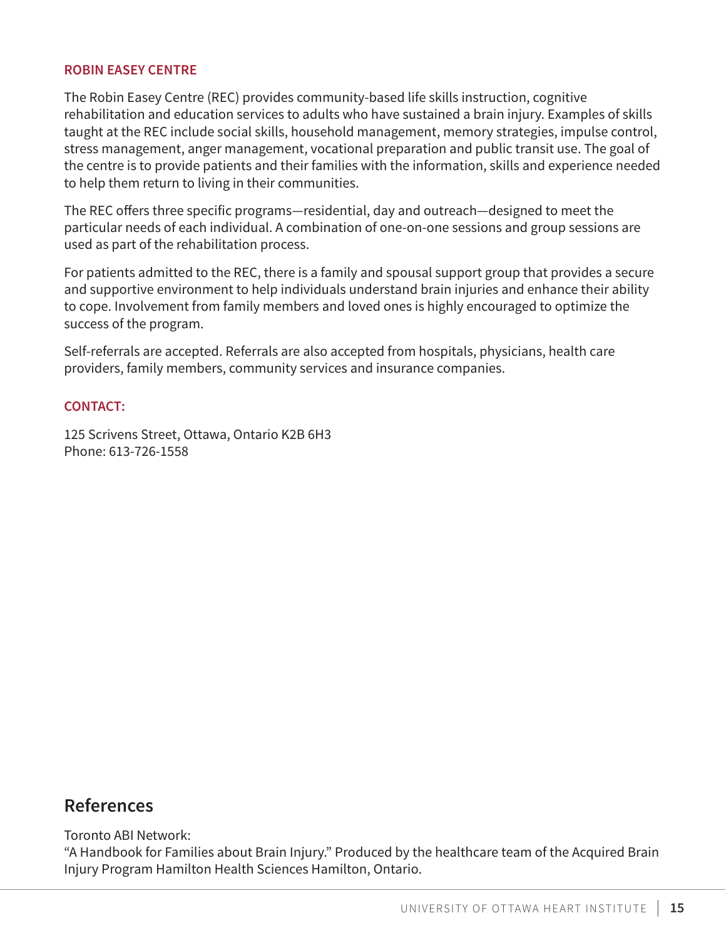#### **ROBIN EASEY CENTRE**

The Robin Easey Centre (REC) provides community-based life skills instruction, cognitive rehabilitation and education services to adults who have sustained a brain injury. Examples of skills taught at the REC include social skills, household management, memory strategies, impulse control, stress management, anger management, vocational preparation and public transit use. The goal of the centre is to provide patients and their families with the information, skills and experience needed to help them return to living in their communities.

The REC offers three specific programs—residential, day and outreach—designed to meet the particular needs of each individual. A combination of one-on-one sessions and group sessions are used as part of the rehabilitation process.

For patients admitted to the REC, there is a family and spousal support group that provides a secure and supportive environment to help individuals understand brain injuries and enhance their ability to cope. Involvement from family members and loved ones is highly encouraged to optimize the success of the program.

Self-referrals are accepted. Referrals are also accepted from hospitals, physicians, health care providers, family members, community services and insurance companies.

#### **CONTACT:**

125 Scrivens Street, Ottawa, Ontario K2B 6H3 Phone: 613-726-1558

# **References**

Toronto ABI Network:

"A Handbook for Families about Brain Injury." Produced by the healthcare team of the Acquired Brain Injury Program Hamilton Health Sciences Hamilton, Ontario.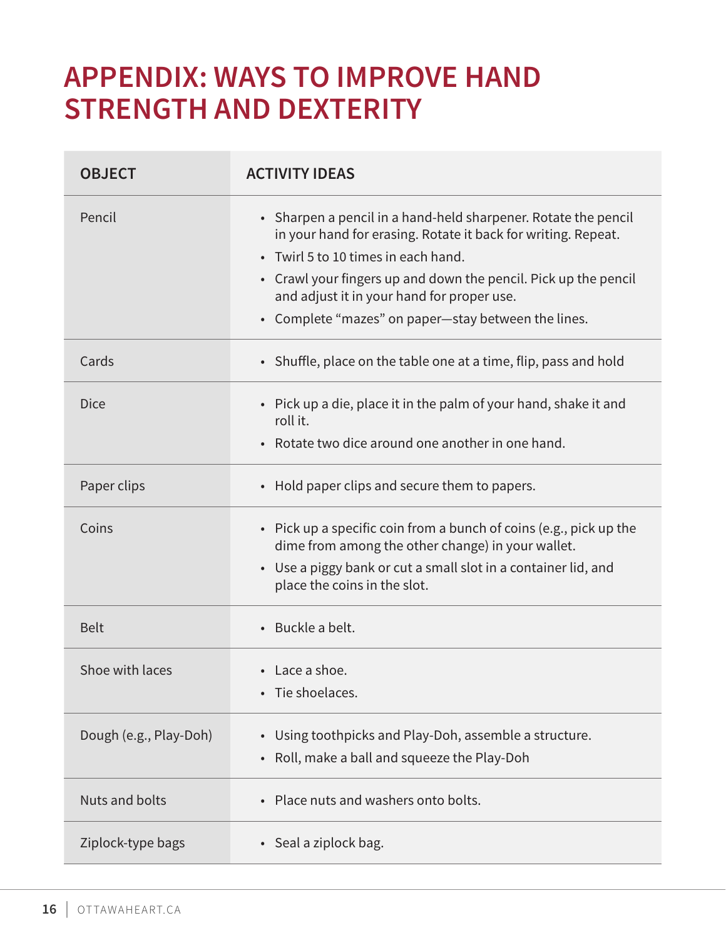# **APPENDIX: WAYS TO IMPROVE HAND STRENGTH AND DEXTERITY**

| <b>OBJECT</b>          | <b>ACTIVITY IDEAS</b>                                                                                                                                                                                                                                                                                                                          |
|------------------------|------------------------------------------------------------------------------------------------------------------------------------------------------------------------------------------------------------------------------------------------------------------------------------------------------------------------------------------------|
| Pencil                 | • Sharpen a pencil in a hand-held sharpener. Rotate the pencil<br>in your hand for erasing. Rotate it back for writing. Repeat.<br>• Twirl 5 to 10 times in each hand.<br>• Crawl your fingers up and down the pencil. Pick up the pencil<br>and adjust it in your hand for proper use.<br>• Complete "mazes" on paper-stay between the lines. |
| Cards                  | • Shuffle, place on the table one at a time, flip, pass and hold                                                                                                                                                                                                                                                                               |
| <b>Dice</b>            | • Pick up a die, place it in the palm of your hand, shake it and<br>roll it.<br>• Rotate two dice around one another in one hand.                                                                                                                                                                                                              |
| Paper clips            | • Hold paper clips and secure them to papers.                                                                                                                                                                                                                                                                                                  |
| Coins                  | • Pick up a specific coin from a bunch of coins (e.g., pick up the<br>dime from among the other change) in your wallet.<br>• Use a piggy bank or cut a small slot in a container lid, and<br>place the coins in the slot.                                                                                                                      |
| <b>Belt</b>            | • Buckle a belt.                                                                                                                                                                                                                                                                                                                               |
| Shoe with laces        | $\cdot$ Lace a shoe.<br>Tie shoelaces.                                                                                                                                                                                                                                                                                                         |
| Dough (e.g., Play-Doh) | Using toothpicks and Play-Doh, assemble a structure.<br>Roll, make a ball and squeeze the Play-Doh                                                                                                                                                                                                                                             |
| <b>Nuts and bolts</b>  | • Place nuts and washers onto bolts.                                                                                                                                                                                                                                                                                                           |
| Ziplock-type bags      | • Seal a ziplock bag.                                                                                                                                                                                                                                                                                                                          |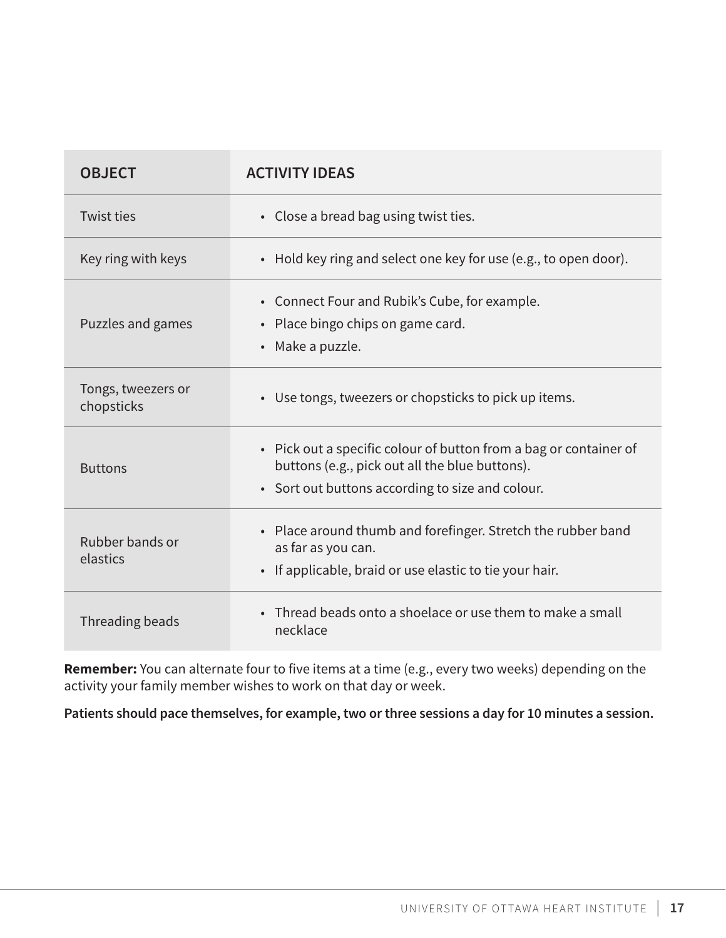| <b>OBJECT</b>                    | <b>ACTIVITY IDEAS</b>                                                                                                                                                   |
|----------------------------------|-------------------------------------------------------------------------------------------------------------------------------------------------------------------------|
| <b>Twist ties</b>                | • Close a bread bag using twist ties.                                                                                                                                   |
| Key ring with keys               | • Hold key ring and select one key for use (e.g., to open door).                                                                                                        |
| Puzzles and games                | • Connect Four and Rubik's Cube, for example.<br>• Place bingo chips on game card.<br>• Make a puzzle.                                                                  |
| Tongs, tweezers or<br>chopsticks | • Use tongs, tweezers or chopsticks to pick up items.                                                                                                                   |
| <b>Buttons</b>                   | • Pick out a specific colour of button from a bag or container of<br>buttons (e.g., pick out all the blue buttons).<br>• Sort out buttons according to size and colour. |
| Rubber bands or<br>elastics      | • Place around thumb and forefinger. Stretch the rubber band<br>as far as you can.<br>• If applicable, braid or use elastic to tie your hair.                           |
| Threading beads                  | • Thread beads onto a shoelace or use them to make a small<br>necklace                                                                                                  |

**Remember:** You can alternate four to five items at a time (e.g., every two weeks) depending on the activity your family member wishes to work on that day or week.

**Patients should pace themselves, for example, two or three sessions a day for 10 minutes a session.**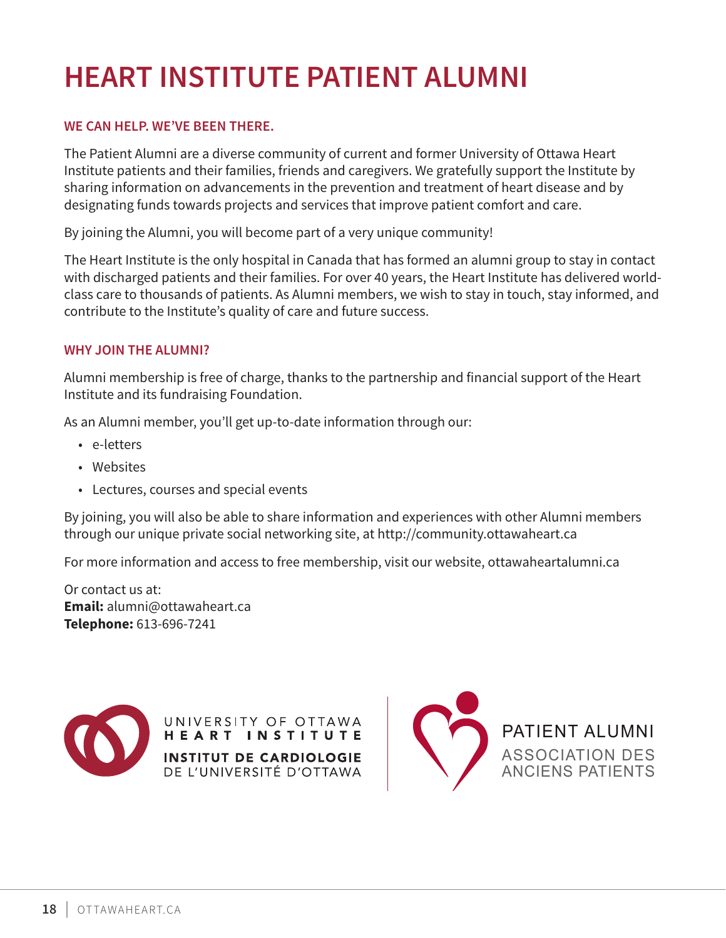# **HEART INSTITUTE PATIENT ALUMNI**

#### **WE CAN HELP. WE'VE BEEN THERE.**

The Patient Alumni are a diverse community of current and former University of Ottawa Heart Institute patients and their families, friends and caregivers. We gratefully support the Institute by sharing information on advancements in the prevention and treatment of heart disease and by designating funds towards projects and services that improve patient comfort and care.

By joining the Alumni, you will become part of a very unique community!

The Heart Institute is the only hospital in Canada that has formed an alumni group to stay in contact with discharged patients and their families. For over 40 years, the Heart Institute has delivered worldclass care to thousands of patients. As Alumni members, we wish to stay in touch, stay informed, and contribute to the Institute's quality of care and future success.

#### **WHY JOIN THE ALUMNI?**

Alumni membership is free of charge, thanks to the partnership and financial support of the Heart Institute and its fundraising Foundation.

As an Alumni member, you'll get up-to-date information through our:

- e-letters
- Websites
- Lectures, courses and special events

By joining, you will also be able to share information and experiences with other Alumni members through our unique private social networking site, at http://community.ottawaheart.ca

For more information and access to free membership, visit our website, ottawaheartalumni.ca

Or contact us at: **Email:** alumni@ottawaheart.ca **Telephone:** 613-696-7241



UNIVERSITY OF OTTAWA HEART INSTITUTE **INSTITUT DE CARDIOLOGIE** DE L'UNIVERSITÉ D'OTTAWA